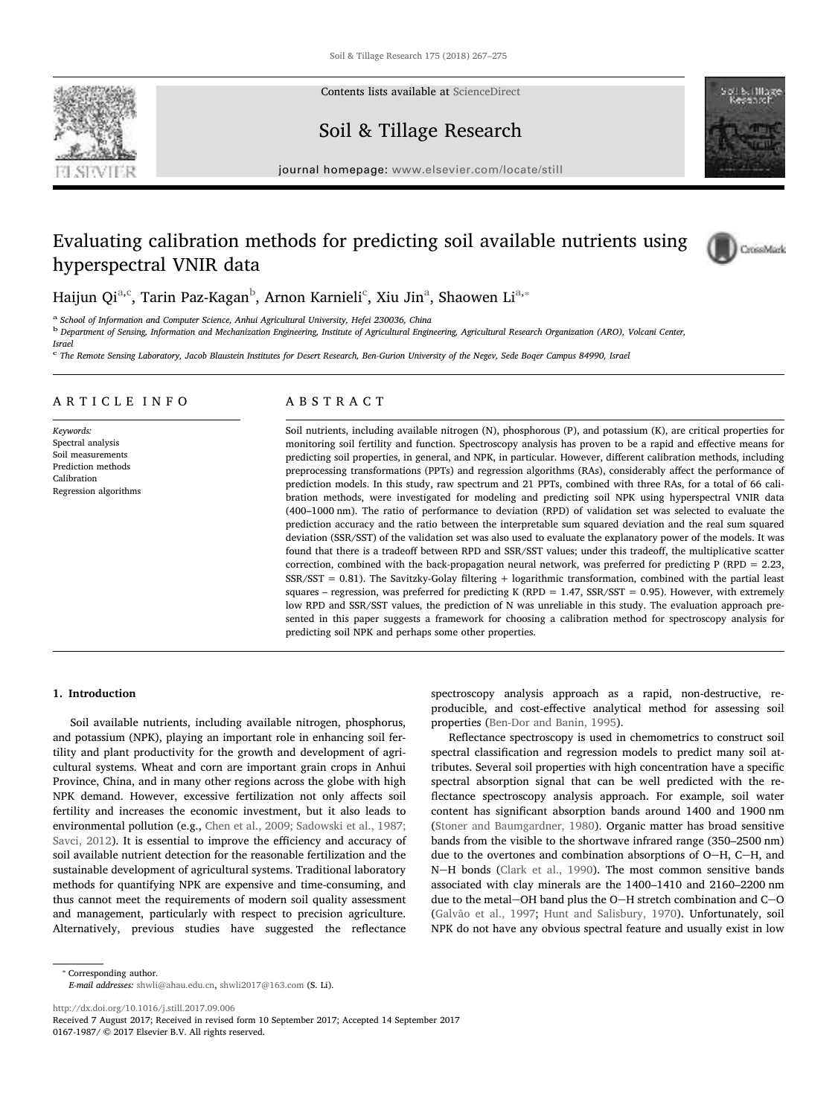**U SEVIER** 



Contents lists available at ScienceDirect

## Soil & Tillage Research

journal homepage: www.elsevier.com/locate/still

# Evaluating calibration methods for predicting soil available nutrients using hyperspectral VNIR data



Haijun Qi<sup>a,c</sup>, Tarin Paz-Kagan<sup>b</sup>, Arnon Karnieli<sup>c</sup>, Xiu Jin<sup>a</sup>, Shaowen Li<sup>a,</sup>\*

a *School of Information and Computer Science, Anhui Agricultural University, Hefei 230036, China*

b *Department of Sensing, Information and Mechanization Engineering, Institute of Agricultural Engineering, Agricultural Research Organization (ARO), Volcani Center,*

c *The Remote Sensing Laboratory, Jacob Blaustein Institutes for Desert Research, Ben-Gurion University of the Negev, Sede Boqer Campus 84990, Israel*

## ARTICLE INFO

*Keywords:* Spectral analysis Soil measurements Prediction methods Calibration Regression algorithms

## ABSTRACT

Soil nutrients, including available nitrogen (N), phosphorous (P), and potassium (K), are critical properties for monitoring soil fertility and function. Spectroscopy analysis has proven to be a rapid and effective means for predicting soil properties, in general, and NPK, in particular. However, different calibration methods, including preprocessing transformations (PPTs) and regression algorithms (RAs), considerably affect the performance of prediction models. In this study, raw spectrum and 21 PPTs, combined with three RAs, for a total of 66 calibration methods, were investigated for modeling and predicting soil NPK using hyperspectral VNIR data (400–1000 nm). The ratio of performance to deviation (RPD) of validation set was selected to evaluate the prediction accuracy and the ratio between the interpretable sum squared deviation and the real sum squared deviation (SSR/SST) of the validation set was also used to evaluate the explanatory power of the models. It was found that there is a tradeoff between RPD and SSR/SST values; under this tradeoff, the multiplicative scatter correction, combined with the back-propagation neural network, was preferred for predicting P (RPD =  $2.23$ , SSR/SST = 0.81). The Savitzky-Golay filtering + logarithmic transformation, combined with the partial least squares – regression, was preferred for predicting K (RPD =  $1.47$ , SSR/SST = 0.95). However, with extremely low RPD and SSR/SST values, the prediction of N was unreliable in this study. The evaluation approach presented in this paper suggests a framework for choosing a calibration method for spectroscopy analysis for predicting soil NPK and perhaps some other properties.

## 1. Introduction

Soil available nutrients, including available nitrogen, phosphorus, and potassium (NPK), playing an important role in enhancing soil fertility and plant productivity for the growth and development of agricultural systems. Wheat and corn are important grain crops in Anhui Province, China, and in many other regions across the globe with high NPK demand. However, excessive fertilization not only affects soil fertility and increases the economic investment, but it also leads to environmental pollution (e.g., Chen et al., 2009; Sadowski et al., 1987; Savci, 2012). It is essential to improve the efficiency and accuracy of soil available nutrient detection for the reasonable fertilization and the sustainable development of agricultural systems. Traditional laboratory methods for quantifying NPK are expensive and time-consuming, and thus cannot meet the requirements of modern soil quality assessment and management, particularly with respect to precision agriculture. Alternatively, previous studies have suggested the reflectance spectroscopy analysis approach as a rapid, non-destructive, reproducible, and cost-effective analytical method for assessing soil properties (Ben-Dor and Banin, 1995).

Reflectance spectroscopy is used in chemometrics to construct soil spectral classification and regression models to predict many soil attributes. Several soil properties with high concentration have a specific spectral absorption signal that can be well predicted with the reflectance spectroscopy analysis approach. For example, soil water content has significant absorption bands around 1400 and 1900 nm (Stoner and Baumgardner, 1980). Organic matter has broad sensitive bands from the visible to the shortwave infrared range (350–2500 nm) due to the overtones and combination absorptions of  $O-H$ ,  $C-H$ , and N-H bonds (Clark et al., 1990). The most common sensitive bands associated with clay minerals are the 1400–1410 and 2160–2200 nm due to the metal-OH band plus the O-H stretch combination and C-O (Galvão et al., 1997; Hunt and Salisbury, 1970). Unfortunately, soil NPK do not have any obvious spectral feature and usually exist in low

⁎ Corresponding author.

http://dx.doi.org/10.1016/j.still.2017.09.006

Received 7 August 2017; Received in revised form 10 September 2017; Accepted 14 September 2017 0167-1987/ © 2017 Elsevier B.V. All rights reserved.

*Israel*

*E-mail addresses:* shwli@ahau.edu.cn, shwli2017@163.com (S. Li).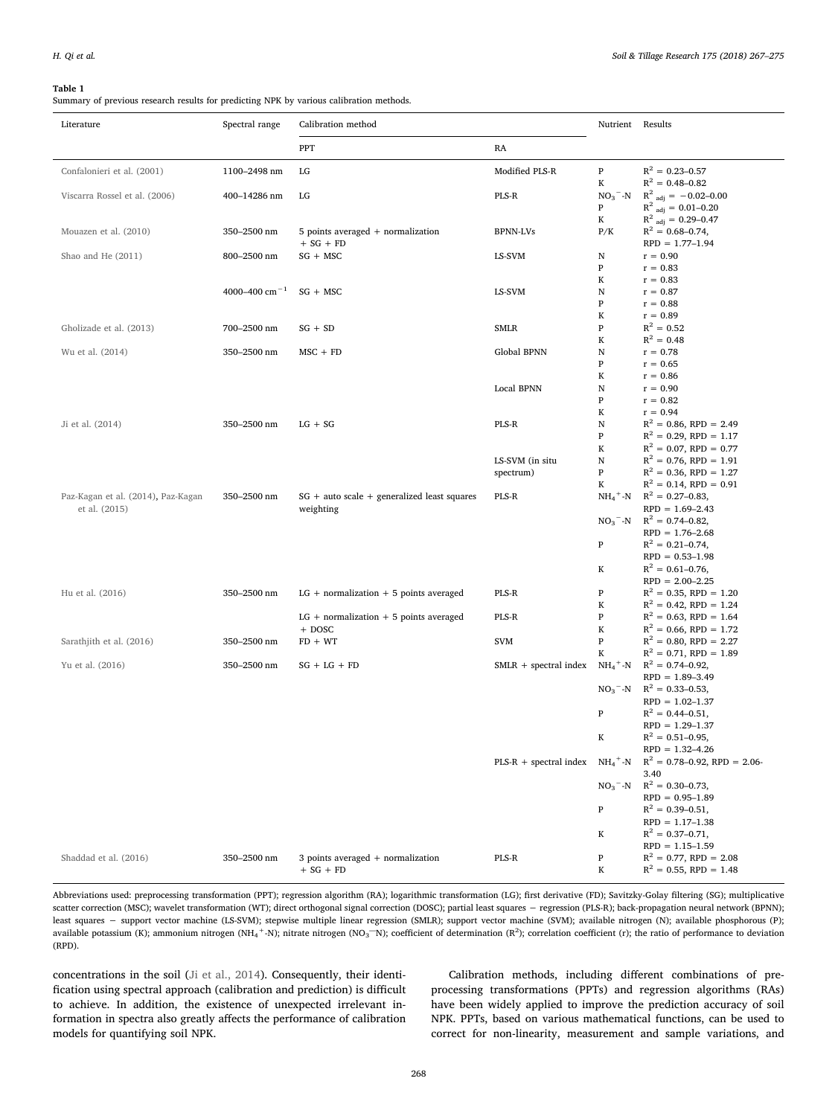#### Table 1

Summary of previous research results for predicting NPK by various calibration methods.

| Literature                                          | Spectral range     | Calibration method                                         |                                               | Nutrient Results       |                                                                                            |
|-----------------------------------------------------|--------------------|------------------------------------------------------------|-----------------------------------------------|------------------------|--------------------------------------------------------------------------------------------|
|                                                     |                    | PPT                                                        | RA                                            |                        |                                                                                            |
| Confalonieri et al. (2001)                          | 1100-2498 nm       | LG                                                         | Modified PLS-R                                | P<br>K                 | $R^2 = 0.23 - 0.57$<br>$R^2 = 0.48 - 0.82$                                                 |
| Viscarra Rossel et al. (2006)                       | 400-14286 nm       | LG                                                         | PLS-R                                         | $NO3 - N$<br>P<br>K    | $R^2$ <sub>adj</sub> = -0.02-0.00<br>$R^2$ adj = 0.01-0.20<br>$R^2$ adj = 0.29-0.47        |
| Mouazen et al. (2010)                               | 350-2500 nm        | $5$ points averaged + normalization<br>$+ SG + FD$         | <b>BPNN-LVs</b>                               | P/K                    | $R^2 = 0.68 - 0.74$ ,<br>$RPD = 1.77 - 1.94$                                               |
| Shao and He (2011)                                  | 800-2500 nm        | $SG + MSC$                                                 | LS-SVM                                        | N<br>P                 | $r = 0.90$<br>$r = 0.83$                                                                   |
|                                                     | 4000-400 $cm^{-1}$ | $SG + MSC$                                                 | LS-SVM                                        | K<br>N<br>P            | $r = 0.83$<br>$r = 0.87$<br>$r = 0.88$                                                     |
| Gholizade et al. (2013)                             | 700-2500 nm        | $SG + SD$                                                  | <b>SMLR</b>                                   | K<br>P                 | $r = 0.89$<br>$R^2 = 0.52$                                                                 |
| Wu et al. (2014)                                    | 350-2500 nm        | $MSC + FD$                                                 | Global BPNN                                   | K<br>N<br>P<br>K       | $R^2 = 0.48$<br>$r = 0.78$<br>$r = 0.65$<br>$r = 0.86$                                     |
|                                                     |                    |                                                            | Local BPNN                                    | N<br>P<br>K            | $r = 0.90$<br>$r = 0.82$<br>$r = 0.94$                                                     |
| Ji et al. (2014)                                    | 350-2500 nm        | $LG + SG$                                                  | PLS-R                                         | N<br>P<br>K            | $R^2 = 0.86$ , RPD = 2.49<br>$R^2 = 0.29$ , RPD = 1.17<br>$R^2 = 0.07$ , RPD = 0.77        |
|                                                     |                    |                                                            | LS-SVM (in situ<br>spectrum)                  | N<br>P<br>K            | $R^2 = 0.76$ , RPD = 1.91<br>$R^2 = 0.36$ , RPD = 1.27<br>$R^2 = 0.14$ , RPD = 0.91        |
| Paz-Kagan et al. (2014), Paz-Kagan<br>et al. (2015) | 350-2500 nm        | $SG + auto scale + generalized least squares$<br>weighting | PLS-R                                         | $NO_3$ <sup>-</sup> -N | $NH_4$ <sup>+</sup> -N $R^2 = 0.27 - 0.83$ ,<br>$RPD = 1.69 - 2.43$<br>$R^2 = 0.74 - 0.82$ |
|                                                     |                    |                                                            |                                               | $\, {\bf p}$           | $RPD = 1.76 - 2.68$<br>$R^2 = 0.21 - 0.74$ ,<br>$RPD = 0.53 - 1.98$                        |
| Hu et al. (2016)                                    | 350-2500 nm        | $LG$ + normalization + 5 points averaged                   | PLS-R                                         | K<br>P                 | $R^2 = 0.61 - 0.76$ ,<br>$RPD = 2.00 - 2.25$<br>$R^2 = 0.35$ , RPD = 1.20                  |
|                                                     |                    | $LG$ + normalization + 5 points averaged                   | PLS-R                                         | K<br>P                 | $R^2 = 0.42$ , RPD = 1.24<br>$R^2 = 0.63$ , RPD = 1.64                                     |
| Sarathjith et al. (2016)                            | 350-2500 nm        | $+$ DOSC<br>$FD + WT$                                      | <b>SVM</b>                                    | K<br>P<br>K            | $R^2 = 0.66$ , RPD = 1.72<br>$R^2 = 0.80$ , RPD = 2.27<br>$R^2 = 0.71$ , RPD = 1.89        |
| Yu et al. (2016)                                    | 350-2500 nm        | $SG + LG + FD$                                             | $SMLR + spectral index$                       | $NH_4$ <sup>+</sup> -N | $R^2 = 0.74 - 0.92$<br>$RPD = 1.89 - 3.49$                                                 |
|                                                     |                    |                                                            |                                               | $NO3 - N$              | $R^2 = 0.33 - 0.53$ ,<br>$RPD = 1.02 - 1.37$                                               |
|                                                     |                    |                                                            |                                               | P<br>K                 | $R^2 = 0.44 - 0.51$ ,<br>$RPD = 1.29 - 1.37$<br>$R^2 = 0.51 - 0.95$ ,                      |
|                                                     |                    |                                                            | PLS-R + spectral index $NH_4$ <sup>+</sup> -N |                        | $RPD = 1.32 - 4.26$<br>$R^2 = 0.78 - 0.92$ , RPD = 2.06-                                   |
|                                                     |                    |                                                            |                                               | $NO_3$ <sup>-</sup> -N | 3.40<br>$R^2 = 0.30 - 0.73$ ,                                                              |
|                                                     |                    |                                                            |                                               | $\, {\bf p}$           | $RPD = 0.95 - 1.89$<br>$R^2 = 0.39 - 0.51$ ,<br>$RPD = 1.17 - 1.38$                        |
|                                                     |                    |                                                            |                                               | K                      | $R^2 = 0.37 - 0.71$ ,<br>$RPD = 1.15 - 1.59$                                               |
| Shaddad et al. (2016)                               | 350-2500 nm        | 3 points averaged $+$ normalization<br>$+ SG + FD$         | PLS-R                                         | P<br>K                 | $R^2 = 0.77$ , RPD = 2.08<br>$R^2 = 0.55$ , RPD = 1.48                                     |

Abbreviations used: preprocessing transformation (PPT); regression algorithm (RA); logarithmic transformation (LG); first derivative (FD); Savitzky-Golay filtering (SG); multiplicative scatter correction (MSC); wavelet transformation (WT); direct orthogonal signal correction (DOSC); partial least squares - regression (PLS-R); back-propagation neural network (BPNN); least squares − support vector machine (LS-SVM); stepwise multiple linear regression (SMLR); support vector machine (SVM); available nitrogen (N); available phosphorous (P); available potassium (K); ammonium nitrogen (NH<sub>4</sub><sup>+</sup>-N); nitrate nitrogen (NO<sub>3</sub><sup>-</sup>N); coefficient of determination (R<sup>2</sup>); correlation coefficient (r); the ratio of performance to deviation (RPD).

concentrations in the soil (Ji et al., 2014). Consequently, their identification using spectral approach (calibration and prediction) is difficult to achieve. In addition, the existence of unexpected irrelevant information in spectra also greatly affects the performance of calibration models for quantifying soil NPK.

Calibration methods, including different combinations of preprocessing transformations (PPTs) and regression algorithms (RAs) have been widely applied to improve the prediction accuracy of soil NPK. PPTs, based on various mathematical functions, can be used to correct for non-linearity, measurement and sample variations, and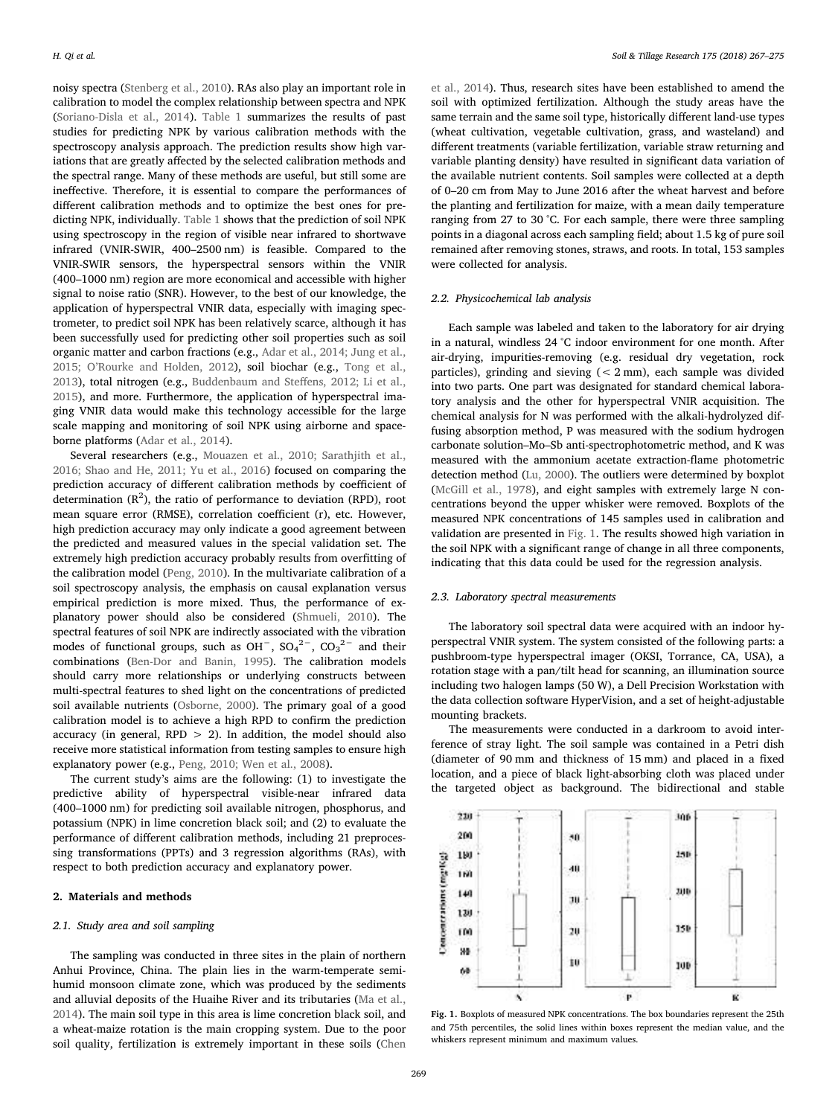noisy spectra (Stenberg et al., 2010). RAs also play an important role in calibration to model the complex relationship between spectra and NPK (Soriano-Disla et al., 2014). Table 1 summarizes the results of past studies for predicting NPK by various calibration methods with the spectroscopy analysis approach. The prediction results show high variations that are greatly affected by the selected calibration methods and the spectral range. Many of these methods are useful, but still some are ineffective. Therefore, it is essential to compare the performances of different calibration methods and to optimize the best ones for predicting NPK, individually. Table 1 shows that the prediction of soil NPK using spectroscopy in the region of visible near infrared to shortwave infrared (VNIR-SWIR, 400–2500 nm) is feasible. Compared to the VNIR-SWIR sensors, the hyperspectral sensors within the VNIR (400–1000 nm) region are more economical and accessible with higher signal to noise ratio (SNR). However, to the best of our knowledge, the application of hyperspectral VNIR data, especially with imaging spectrometer, to predict soil NPK has been relatively scarce, although it has been successfully used for predicting other soil properties such as soil organic matter and carbon fractions (e.g., Adar et al., 2014; Jung et al., 2015; O'Rourke and Holden, 2012), soil biochar (e.g., Tong et al., 2013), total nitrogen (e.g., Buddenbaum and Steffens, 2012; Li et al., 2015), and more. Furthermore, the application of hyperspectral imaging VNIR data would make this technology accessible for the large scale mapping and monitoring of soil NPK using airborne and spaceborne platforms (Adar et al., 2014).

Several researchers (e.g., Mouazen et al., 2010; Sarathjith et al., 2016; Shao and He, 2011; Yu et al., 2016) focused on comparing the prediction accuracy of different calibration methods by coefficient of determination  $(R^2)$ , the ratio of performance to deviation (RPD), root mean square error (RMSE), correlation coefficient (r), etc. However, high prediction accuracy may only indicate a good agreement between the predicted and measured values in the special validation set. The extremely high prediction accuracy probably results from overfitting of the calibration model (Peng, 2010). In the multivariate calibration of a soil spectroscopy analysis, the emphasis on causal explanation versus empirical prediction is more mixed. Thus, the performance of explanatory power should also be considered (Shmueli, 2010). The spectral features of soil NPK are indirectly associated with the vibration modes of functional groups, such as  $OH^-$ ,  $SO_4^2^-$ ,  $CO_3^2^-$  and their combinations (Ben-Dor and Banin, 1995). The calibration models should carry more relationships or underlying constructs between multi-spectral features to shed light on the concentrations of predicted soil available nutrients (Osborne, 2000). The primary goal of a good calibration model is to achieve a high RPD to confirm the prediction accuracy (in general, RPD  $>$  2). In addition, the model should also receive more statistical information from testing samples to ensure high explanatory power (e.g., Peng, 2010; Wen et al., 2008).

The current study's aims are the following: (1) to investigate the predictive ability of hyperspectral visible-near infrared data (400–1000 nm) for predicting soil available nitrogen, phosphorus, and potassium (NPK) in lime concretion black soil; and (2) to evaluate the performance of different calibration methods, including 21 preprocessing transformations (PPTs) and 3 regression algorithms (RAs), with respect to both prediction accuracy and explanatory power.

## 2. Materials and methods

## *2.1. Study area and soil sampling*

The sampling was conducted in three sites in the plain of northern Anhui Province, China. The plain lies in the warm-temperate semihumid monsoon climate zone, which was produced by the sediments and alluvial deposits of the Huaihe River and its tributaries (Ma et al., 2014). The main soil type in this area is lime concretion black soil, and a wheat-maize rotation is the main cropping system. Due to the poor soil quality, fertilization is extremely important in these soils (Chen

et al., 2014). Thus, research sites have been established to amend the soil with optimized fertilization. Although the study areas have the same terrain and the same soil type, historically different land-use types (wheat cultivation, vegetable cultivation, grass, and wasteland) and different treatments (variable fertilization, variable straw returning and variable planting density) have resulted in significant data variation of the available nutrient contents. Soil samples were collected at a depth of 0–20 cm from May to June 2016 after the wheat harvest and before the planting and fertilization for maize, with a mean daily temperature ranging from 27 to 30 °C. For each sample, there were three sampling points in a diagonal across each sampling field; about 1.5 kg of pure soil remained after removing stones, straws, and roots. In total, 153 samples were collected for analysis.

## *2.2. Physicochemical lab analysis*

Each sample was labeled and taken to the laboratory for air drying in a natural, windless 24 °C indoor environment for one month. After air-drying, impurities-removing (e.g. residual dry vegetation, rock particles), grinding and sieving  $(< 2 \text{ mm})$ , each sample was divided into two parts. One part was designated for standard chemical laboratory analysis and the other for hyperspectral VNIR acquisition. The chemical analysis for N was performed with the alkali-hydrolyzed diffusing absorption method, P was measured with the sodium hydrogen carbonate solution–Mo–Sb anti-spectrophotometric method, and K was measured with the ammonium acetate extraction-flame photometric detection method (Lu, 2000). The outliers were determined by boxplot (McGill et al., 1978), and eight samples with extremely large N concentrations beyond the upper whisker were removed. Boxplots of the measured NPK concentrations of 145 samples used in calibration and validation are presented in Fig. 1. The results showed high variation in the soil NPK with a significant range of change in all three components, indicating that this data could be used for the regression analysis.

#### *2.3. Laboratory spectral measurements*

The laboratory soil spectral data were acquired with an indoor hyperspectral VNIR system. The system consisted of the following parts: a pushbroom-type hyperspectral imager (OKSI, Torrance, CA, USA), a rotation stage with a pan/tilt head for scanning, an illumination source including two halogen lamps (50 W), a Dell Precision Workstation with the data collection software HyperVision, and a set of height-adjustable mounting brackets.

The measurements were conducted in a darkroom to avoid interference of stray light. The soil sample was contained in a Petri dish (diameter of 90 mm and thickness of 15 mm) and placed in a fixed location, and a piece of black light-absorbing cloth was placed under the targeted object as background. The bidirectional and stable



Fig. 1. Boxplots of measured NPK concentrations. The box boundaries represent the 25th and 75th percentiles, the solid lines within boxes represent the median value, and the whiskers represent minimum and maximum values.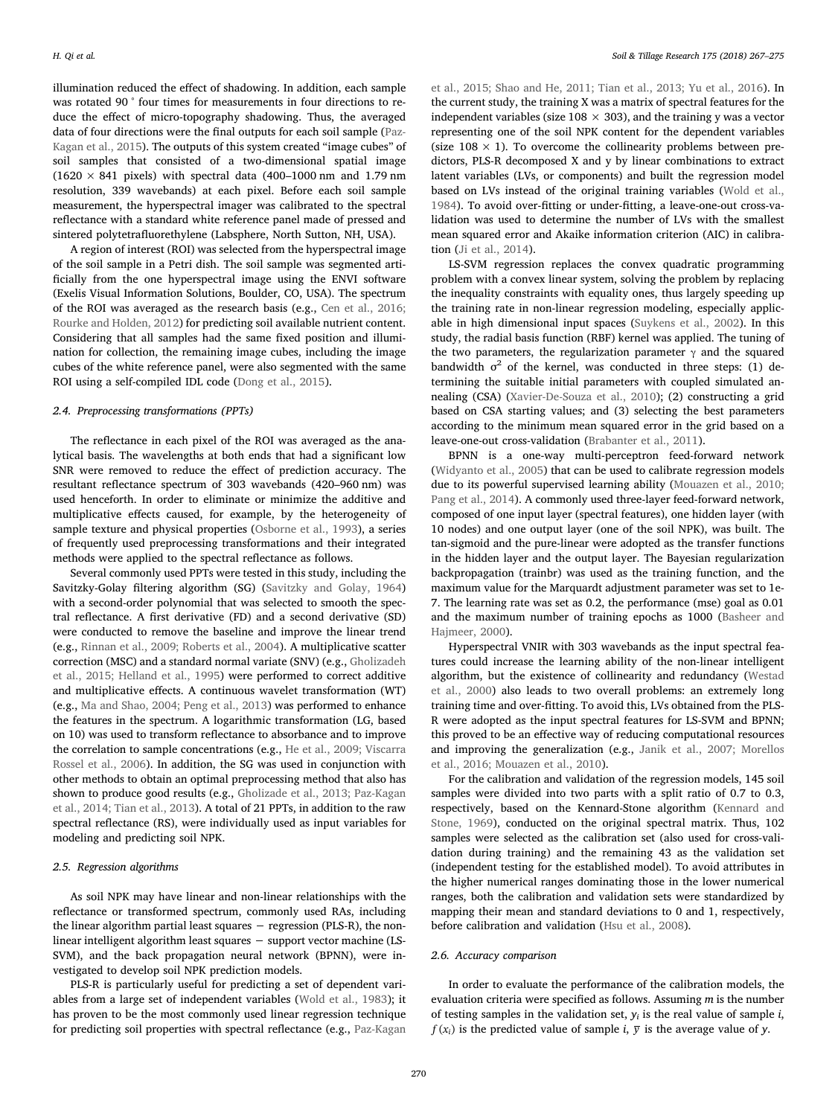illumination reduced the effect of shadowing. In addition, each sample was rotated 90 ° four times for measurements in four directions to reduce the effect of micro-topography shadowing. Thus, the averaged data of four directions were the final outputs for each soil sample (Paz-Kagan et al., 2015). The outputs of this system created "image cubes" of soil samples that consisted of a two-dimensional spatial image  $(1620 \times 841$  pixels) with spectral data  $(400-1000$  nm and 1.79 nm resolution, 339 wavebands) at each pixel. Before each soil sample measurement, the hyperspectral imager was calibrated to the spectral reflectance with a standard white reference panel made of pressed and sintered polytetrafluorethylene (Labsphere, North Sutton, NH, USA).

A region of interest (ROI) was selected from the hyperspectral image of the soil sample in a Petri dish. The soil sample was segmented artificially from the one hyperspectral image using the ENVI software (Exelis Visual Information Solutions, Boulder, CO, USA). The spectrum of the ROI was averaged as the research basis (e.g., Cen et al., 2016; Rourke and Holden, 2012) for predicting soil available nutrient content. Considering that all samples had the same fixed position and illumination for collection, the remaining image cubes, including the image cubes of the white reference panel, were also segmented with the same ROI using a self-compiled IDL code (Dong et al., 2015).

## *2.4. Preprocessing transformations (PPTs)*

The reflectance in each pixel of the ROI was averaged as the analytical basis. The wavelengths at both ends that had a significant low SNR were removed to reduce the effect of prediction accuracy. The resultant reflectance spectrum of 303 wavebands (420–960 nm) was used henceforth. In order to eliminate or minimize the additive and multiplicative effects caused, for example, by the heterogeneity of sample texture and physical properties (Osborne et al., 1993), a series of frequently used preprocessing transformations and their integrated methods were applied to the spectral reflectance as follows.

Several commonly used PPTs were tested in this study, including the Savitzky-Golay filtering algorithm (SG) (Savitzky and Golay, 1964) with a second-order polynomial that was selected to smooth the spectral reflectance. A first derivative (FD) and a second derivative (SD) were conducted to remove the baseline and improve the linear trend (e.g., Rinnan et al., 2009; Roberts et al., 2004). A multiplicative scatter correction (MSC) and a standard normal variate (SNV) (e.g., Gholizadeh et al., 2015; Helland et al., 1995) were performed to correct additive and multiplicative effects. A continuous wavelet transformation (WT) (e.g., Ma and Shao, 2004; Peng et al., 2013) was performed to enhance the features in the spectrum. A logarithmic transformation (LG, based on 10) was used to transform reflectance to absorbance and to improve the correlation to sample concentrations (e.g., He et al., 2009; Viscarra Rossel et al., 2006). In addition, the SG was used in conjunction with other methods to obtain an optimal preprocessing method that also has shown to produce good results (e.g., Gholizade et al., 2013; Paz-Kagan et al., 2014; Tian et al., 2013). A total of 21 PPTs, in addition to the raw spectral reflectance (RS), were individually used as input variables for modeling and predicting soil NPK.

## *2.5. Regression algorithms*

As soil NPK may have linear and non-linear relationships with the reflectance or transformed spectrum, commonly used RAs, including the linear algorithm partial least squares − regression (PLS-R), the nonlinear intelligent algorithm least squares − support vector machine (LS-SVM), and the back propagation neural network (BPNN), were investigated to develop soil NPK prediction models.

PLS-R is particularly useful for predicting a set of dependent variables from a large set of independent variables (Wold et al., 1983); it has proven to be the most commonly used linear regression technique for predicting soil properties with spectral reflectance (e.g., Paz-Kagan

et al., 2015; Shao and He, 2011; Tian et al., 2013; Yu et al., 2016). In the current study, the training X was a matrix of spectral features for the independent variables (size  $108 \times 303$ ), and the training y was a vector representing one of the soil NPK content for the dependent variables (size  $108 \times 1$ ). To overcome the collinearity problems between predictors, PLS-R decomposed X and y by linear combinations to extract latent variables (LVs, or components) and built the regression model based on LVs instead of the original training variables (Wold et al., 1984). To avoid over-fitting or under-fitting, a leave-one-out cross-validation was used to determine the number of LVs with the smallest mean squared error and Akaike information criterion (AIC) in calibration (Ji et al., 2014).

LS-SVM regression replaces the convex quadratic programming problem with a convex linear system, solving the problem by replacing the inequality constraints with equality ones, thus largely speeding up the training rate in non-linear regression modeling, especially applicable in high dimensional input spaces (Suykens et al., 2002). In this study, the radial basis function (RBF) kernel was applied. The tuning of the two parameters, the regularization parameter  $\gamma$  and the squared bandwidth  $\sigma^2$  of the kernel, was conducted in three steps: (1) determining the suitable initial parameters with coupled simulated annealing (CSA) (Xavier-De-Souza et al., 2010); (2) constructing a grid based on CSA starting values; and (3) selecting the best parameters according to the minimum mean squared error in the grid based on a leave-one-out cross-validation (Brabanter et al., 2011).

BPNN is a one-way multi-perceptron feed-forward network (Widyanto et al., 2005) that can be used to calibrate regression models due to its powerful supervised learning ability (Mouazen et al., 2010; Pang et al., 2014). A commonly used three-layer feed-forward network, composed of one input layer (spectral features), one hidden layer (with 10 nodes) and one output layer (one of the soil NPK), was built. The tan-sigmoid and the pure-linear were adopted as the transfer functions in the hidden layer and the output layer. The Bayesian regularization backpropagation (trainbr) was used as the training function, and the maximum value for the Marquardt adjustment parameter was set to 1e-7. The learning rate was set as 0.2, the performance (mse) goal as 0.01 and the maximum number of training epochs as 1000 (Basheer and Hajmeer, 2000).

Hyperspectral VNIR with 303 wavebands as the input spectral features could increase the learning ability of the non-linear intelligent algorithm, but the existence of collinearity and redundancy (Westad et al., 2000) also leads to two overall problems: an extremely long training time and over-fitting. To avoid this, LVs obtained from the PLS-R were adopted as the input spectral features for LS-SVM and BPNN; this proved to be an effective way of reducing computational resources and improving the generalization (e.g., Janik et al., 2007; Morellos et al., 2016; Mouazen et al., 2010).

For the calibration and validation of the regression models, 145 soil samples were divided into two parts with a split ratio of 0.7 to 0.3, respectively, based on the Kennard-Stone algorithm (Kennard and Stone, 1969), conducted on the original spectral matrix. Thus, 102 samples were selected as the calibration set (also used for cross-validation during training) and the remaining 43 as the validation set (independent testing for the established model). To avoid attributes in the higher numerical ranges dominating those in the lower numerical ranges, both the calibration and validation sets were standardized by mapping their mean and standard deviations to 0 and 1, respectively, before calibration and validation (Hsu et al., 2008).

## *2.6. Accuracy comparison*

In order to evaluate the performance of the calibration models, the evaluation criteria were specified as follows. Assuming *m* is the number of testing samples in the validation set,  $y_i$  is the real value of sample  $i$ ,  $f(x_i)$  is the predicted value of sample *i*,  $\overline{y}$  is the average value of *y*.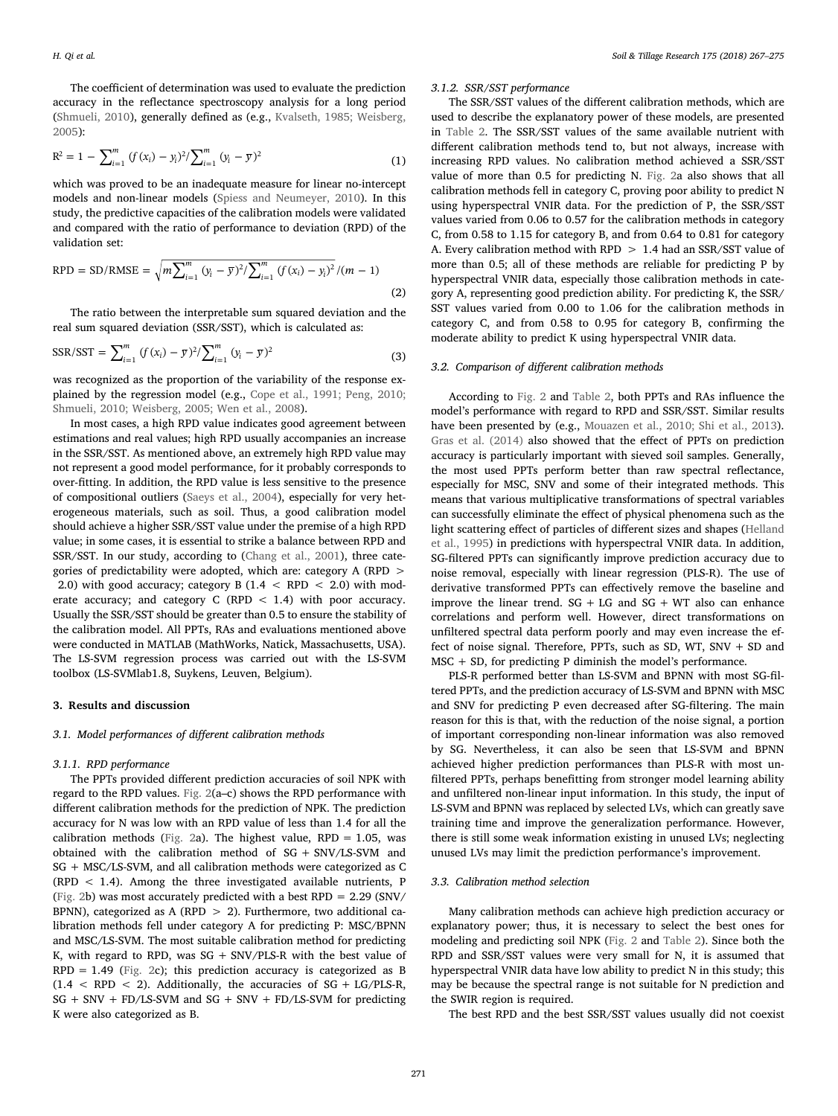The coefficient of determination was used to evaluate the prediction accuracy in the reflectance spectroscopy analysis for a long period (Shmueli, 2010), generally defined as (e.g., Kvalseth, 1985; Weisberg, 2005):

$$
R^{2} = 1 - \sum_{i=1}^{m} (f(x_{i}) - y_{i})^{2} / \sum_{i=1}^{m} (y_{i} - \overline{y})^{2}
$$
 (1)

which was proved to be an inadequate measure for linear no-intercept models and non-linear models (Spiess and Neumeyer, 2010). In this study, the predictive capacities of the calibration models were validated and compared with the ratio of performance to deviation (RPD) of the validation set:

$$
RPD = SD/RMSE = \sqrt{m \sum_{i=1}^{m} (y_i - \overline{y})^2 / \sum_{i=1}^{m} (f(x_i) - y_i)^2} / (m - 1)
$$
\n(2)

The ratio between the interpretable sum squared deviation and the real sum squared deviation (SSR/SST), which is calculated as:

$$
SSR/ SST = \sum_{i=1}^{m} (f(x_i) - \overline{y})^2 / \sum_{i=1}^{m} (y_i - \overline{y})^2
$$
 (3)

was recognized as the proportion of the variability of the response explained by the regression model (e.g., Cope et al., 1991; Peng, 2010; Shmueli, 2010; Weisberg, 2005; Wen et al., 2008).

In most cases, a high RPD value indicates good agreement between estimations and real values; high RPD usually accompanies an increase in the SSR/SST. As mentioned above, an extremely high RPD value may not represent a good model performance, for it probably corresponds to over-fitting. In addition, the RPD value is less sensitive to the presence of compositional outliers (Saeys et al., 2004), especially for very heterogeneous materials, such as soil. Thus, a good calibration model should achieve a higher SSR/SST value under the premise of a high RPD value; in some cases, it is essential to strike a balance between RPD and SSR/SST. In our study, according to (Chang et al., 2001), three categories of predictability were adopted, which are: category A (RPD > 2.0) with good accuracy; category B  $(1.4 <$  RPD  $<$  2.0) with moderate accuracy; and category  $C$  (RPD  $< 1.4$ ) with poor accuracy. Usually the SSR/SST should be greater than 0.5 to ensure the stability of the calibration model. All PPTs, RAs and evaluations mentioned above were conducted in MATLAB (MathWorks, Natick, Massachusetts, USA). The LS-SVM regression process was carried out with the LS-SVM toolbox (LS-SVMlab1.8, Suykens, Leuven, Belgium).

#### 3. Results and discussion

## *3.1. Model performances of di*ff*erent calibration methods*

#### *3.1.1. RPD performance*

The PPTs provided different prediction accuracies of soil NPK with regard to the RPD values. Fig. 2(a–c) shows the RPD performance with different calibration methods for the prediction of NPK. The prediction accuracy for N was low with an RPD value of less than 1.4 for all the calibration methods (Fig. 2a). The highest value,  $RPD = 1.05$ , was obtained with the calibration method of SG + SNV/LS-SVM and SG + MSC/LS-SVM, and all calibration methods were categorized as C (RPD < 1.4). Among the three investigated available nutrients, P (Fig. 2b) was most accurately predicted with a best RPD = 2.29 (SNV/ BPNN), categorized as A (RPD  $>$  2). Furthermore, two additional calibration methods fell under category A for predicting P: MSC/BPNN and MSC/LS-SVM. The most suitable calibration method for predicting K, with regard to RPD, was  $SG + SNV/PLS-R$  with the best value of  $RPD = 1.49$  (Fig. 2c); this prediction accuracy is categorized as B  $(1.4 < RPD < 2)$ . Additionally, the accuracies of SG + LG/PLS-R,  $SG + SNV + FD/LS-SVM$  and  $SG + SNV + FD/LS-SVM$  for predicting K were also categorized as B.

#### *3.1.2. SSR/SST performance*

The SSR/SST values of the different calibration methods, which are used to describe the explanatory power of these models, are presented in Table 2. The SSR/SST values of the same available nutrient with different calibration methods tend to, but not always, increase with increasing RPD values. No calibration method achieved a SSR/SST value of more than 0.5 for predicting N. Fig. 2a also shows that all calibration methods fell in category C, proving poor ability to predict N using hyperspectral VNIR data. For the prediction of P, the SSR/SST values varied from 0.06 to 0.57 for the calibration methods in category C, from 0.58 to 1.15 for category B, and from 0.64 to 0.81 for category A. Every calibration method with RPD > 1.4 had an SSR/SST value of more than 0.5; all of these methods are reliable for predicting P by hyperspectral VNIR data, especially those calibration methods in category A, representing good prediction ability. For predicting K, the SSR/ SST values varied from 0.00 to 1.06 for the calibration methods in category C, and from 0.58 to 0.95 for category B, confirming the moderate ability to predict K using hyperspectral VNIR data.

#### *3.2. Comparison of di*ff*erent calibration methods*

According to Fig. 2 and Table 2, both PPTs and RAs influence the model's performance with regard to RPD and SSR/SST. Similar results have been presented by (e.g., Mouazen et al., 2010; Shi et al., 2013). Gras et al. (2014) also showed that the effect of PPTs on prediction accuracy is particularly important with sieved soil samples. Generally, the most used PPTs perform better than raw spectral reflectance, especially for MSC, SNV and some of their integrated methods. This means that various multiplicative transformations of spectral variables can successfully eliminate the effect of physical phenomena such as the light scattering effect of particles of different sizes and shapes (Helland et al., 1995) in predictions with hyperspectral VNIR data. In addition, SG-filtered PPTs can significantly improve prediction accuracy due to noise removal, especially with linear regression (PLS-R). The use of derivative transformed PPTs can effectively remove the baseline and improve the linear trend.  $SG + LG$  and  $SG + WT$  also can enhance correlations and perform well. However, direct transformations on unfiltered spectral data perform poorly and may even increase the effect of noise signal. Therefore, PPTs, such as SD, WT, SNV + SD and MSC + SD, for predicting P diminish the model's performance.

PLS-R performed better than LS-SVM and BPNN with most SG-filtered PPTs, and the prediction accuracy of LS-SVM and BPNN with MSC and SNV for predicting P even decreased after SG-filtering. The main reason for this is that, with the reduction of the noise signal, a portion of important corresponding non-linear information was also removed by SG. Nevertheless, it can also be seen that LS-SVM and BPNN achieved higher prediction performances than PLS-R with most unfiltered PPTs, perhaps benefitting from stronger model learning ability and unfiltered non-linear input information. In this study, the input of LS-SVM and BPNN was replaced by selected LVs, which can greatly save training time and improve the generalization performance. However, there is still some weak information existing in unused LVs; neglecting unused LVs may limit the prediction performance's improvement.

## *3.3. Calibration method selection*

Many calibration methods can achieve high prediction accuracy or explanatory power; thus, it is necessary to select the best ones for modeling and predicting soil NPK (Fig. 2 and Table 2). Since both the RPD and SSR/SST values were very small for N, it is assumed that hyperspectral VNIR data have low ability to predict N in this study; this may be because the spectral range is not suitable for N prediction and the SWIR region is required.

The best RPD and the best SSR/SST values usually did not coexist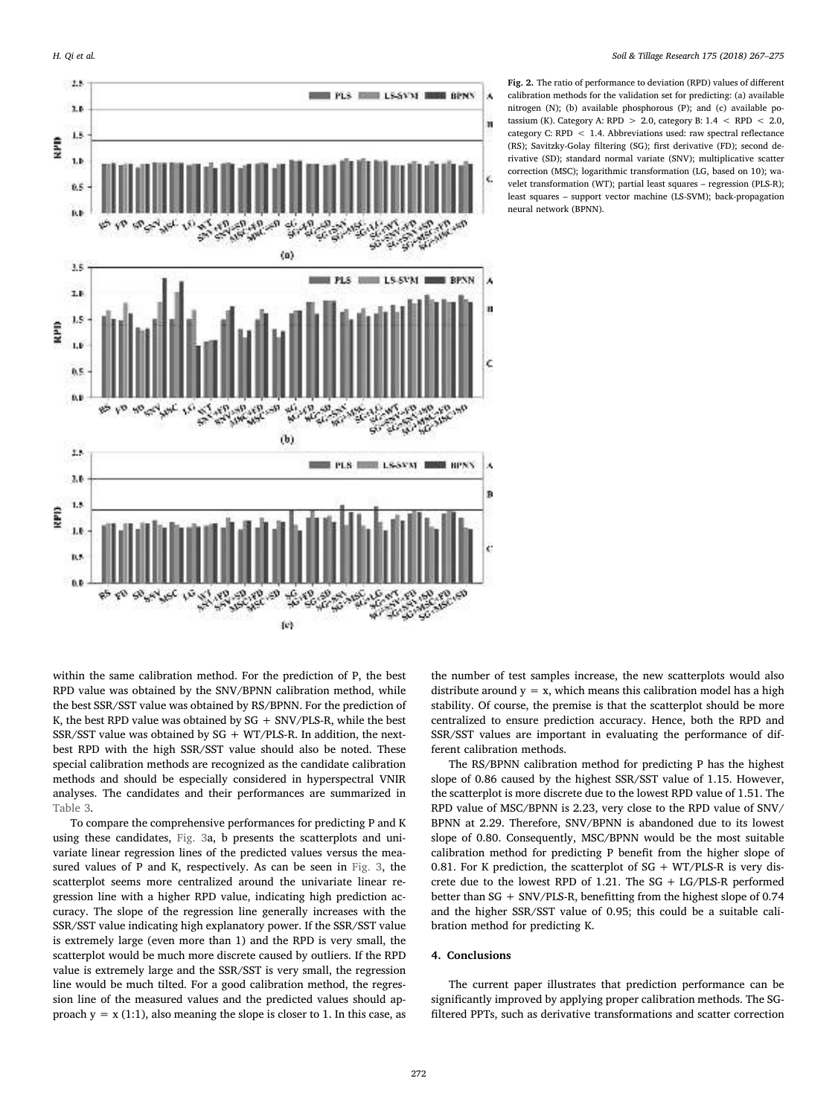

Fig. 2. The ratio of performance to deviation (RPD) values of different calibration methods for the validation set for predicting: (a) available nitrogen (N); (b) available phosphorous (P); and (c) available potassium (K). Category A: RPD  $> 2.0$ , category B:  $1.4 <$  RPD  $< 2.0$ , category C: RPD < 1.4. Abbreviations used: raw spectral reflectance (RS); Savitzky-Golay filtering (SG); first derivative (FD); second derivative (SD); standard normal variate (SNV); multiplicative scatter correction (MSC); logarithmic transformation (LG, based on 10); wavelet transformation (WT); partial least squares – regression (PLS-R); least squares – support vector machine (LS-SVM); back-propagation neural network (BPNN).

within the same calibration method. For the prediction of P, the best RPD value was obtained by the SNV/BPNN calibration method, while the best SSR/SST value was obtained by RS/BPNN. For the prediction of K, the best RPD value was obtained by  $SG + SNV/PLS-R$ , while the best SSR/SST value was obtained by SG + WT/PLS-R. In addition, the nextbest RPD with the high SSR/SST value should also be noted. These special calibration methods are recognized as the candidate calibration methods and should be especially considered in hyperspectral VNIR analyses. The candidates and their performances are summarized in Table 3.

To compare the comprehensive performances for predicting P and K using these candidates, Fig. 3a, b presents the scatterplots and univariate linear regression lines of the predicted values versus the measured values of P and K, respectively. As can be seen in Fig. 3, the scatterplot seems more centralized around the univariate linear regression line with a higher RPD value, indicating high prediction accuracy. The slope of the regression line generally increases with the SSR/SST value indicating high explanatory power. If the SSR/SST value is extremely large (even more than 1) and the RPD is very small, the scatterplot would be much more discrete caused by outliers. If the RPD value is extremely large and the SSR/SST is very small, the regression line would be much tilted. For a good calibration method, the regression line of the measured values and the predicted values should approach  $y = x(1:1)$ , also meaning the slope is closer to 1. In this case, as

the number of test samples increase, the new scatterplots would also distribute around  $y = x$ , which means this calibration model has a high stability. Of course, the premise is that the scatterplot should be more centralized to ensure prediction accuracy. Hence, both the RPD and SSR/SST values are important in evaluating the performance of different calibration methods.

The RS/BPNN calibration method for predicting P has the highest slope of 0.86 caused by the highest SSR/SST value of 1.15. However, the scatterplot is more discrete due to the lowest RPD value of 1.51. The RPD value of MSC/BPNN is 2.23, very close to the RPD value of SNV/ BPNN at 2.29. Therefore, SNV/BPNN is abandoned due to its lowest slope of 0.80. Consequently, MSC/BPNN would be the most suitable calibration method for predicting P benefit from the higher slope of 0.81. For K prediction, the scatterplot of  $SG + WT/PLS-R$  is very discrete due to the lowest RPD of 1.21. The  $SG + LG/PLS-R$  performed better than SG + SNV/PLS-R, benefitting from the highest slope of 0.74 and the higher SSR/SST value of 0.95; this could be a suitable calibration method for predicting K.

## 4. Conclusions

The current paper illustrates that prediction performance can be significantly improved by applying proper calibration methods. The SGfiltered PPTs, such as derivative transformations and scatter correction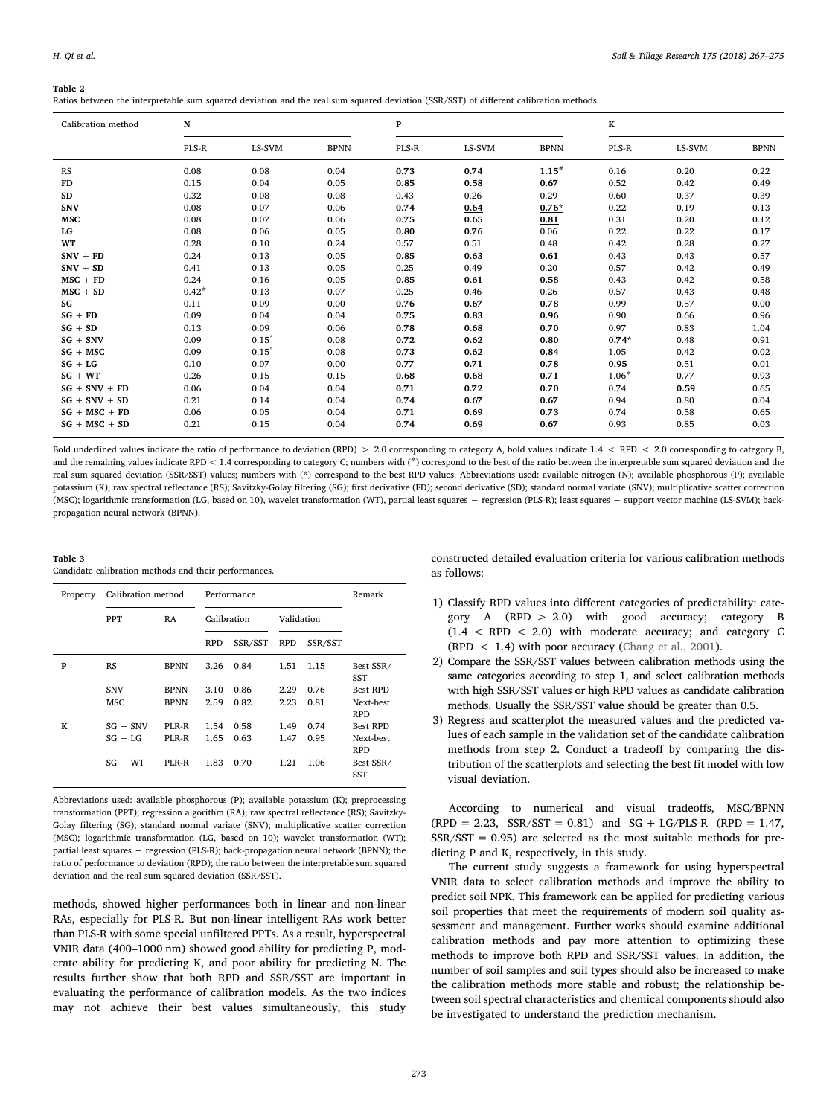#### Table 2

Ratios between the interpretable sum squared deviation and the real sum squared deviation (SSR/SST) of different calibration methods.

| Calibration method | N          |          |             | $\mathbf{P}$ |        |             | K                   |        |             |
|--------------------|------------|----------|-------------|--------------|--------|-------------|---------------------|--------|-------------|
|                    | PLS-R      | LS-SVM   | <b>BPNN</b> | PLS-R        | LS-SVM | <b>BPNN</b> | PLS-R               | LS-SVM | <b>BPNN</b> |
| RS                 | 0.08       | 0.08     | 0.04        | 0.73         | 0.74   | $1.15^{#}$  | 0.16                | 0.20   | 0.22        |
| <b>FD</b>          | 0.15       | 0.04     | 0.05        | 0.85         | 0.58   | 0.67        | 0.52                | 0.42   | 0.49        |
| SD                 | 0.32       | 0.08     | 0.08        | 0.43         | 0.26   | 0.29        | 0.60                | 0.37   | 0.39        |
| <b>SNV</b>         | 0.08       | 0.07     | 0.06        | 0.74         | 0.64   | $0.76*$     | 0.22                | 0.19   | 0.13        |
| MSC                | 0.08       | 0.07     | 0.06        | 0.75         | 0.65   | 0.81        | 0.31                | 0.20   | 0.12        |
| LG                 | 0.08       | 0.06     | 0.05        | 0.80         | 0.76   | 0.06        | 0.22                | 0.22   | 0.17        |
| WT                 | 0.28       | 0.10     | 0.24        | 0.57         | 0.51   | 0.48        | 0.42                | 0.28   | 0.27        |
| $SNV + FD$         | 0.24       | 0.13     | 0.05        | 0.85         | 0.63   | 0.61        | 0.43                | 0.43   | 0.57        |
| $SNV + SD$         | 0.41       | 0.13     | 0.05        | 0.25         | 0.49   | 0.20        | 0.57                | 0.42   | 0.49        |
| $MSC + FD$         | 0.24       | 0.16     | 0.05        | 0.85         | 0.61   | 0.58        | 0.43                | 0.42   | 0.58        |
| $MSC + SD$         | $0.42^{#}$ | 0.13     | 0.07        | 0.25         | 0.46   | 0.26        | 0.57                | 0.43   | 0.48        |
| SG                 | 0.11       | 0.09     | 0.00        | 0.76         | 0.67   | 0.78        | 0.99                | 0.57   | 0.00        |
| $SG + FD$          | 0.09       | 0.04     | 0.04        | 0.75         | 0.83   | 0.96        | 0.90                | 0.66   | 0.96        |
| $SG + SD$          | 0.13       | 0.09     | 0.06        | 0.78         | 0.68   | 0.70        | 0.97                | 0.83   | 1.04        |
| $SG + SNV$         | 0.09       | $0.15^*$ | 0.08        | 0.72         | 0.62   | 0.80        | $0.74*$             | 0.48   | 0.91        |
| $SG + MSC$         | 0.09       | $0.15^*$ | 0.08        | 0.73         | 0.62   | 0.84        | 1.05                | 0.42   | 0.02        |
| $SG + LG$          | 0.10       | 0.07     | 0.00        | 0.77         | 0.71   | 0.78        | 0.95                | 0.51   | 0.01        |
| $SG + WT$          | 0.26       | 0.15     | 0.15        | 0.68         | 0.68   | 0.71        | $1.06$ <sup>#</sup> | 0.77   | 0.93        |
| $SG + SNV + FD$    | 0.06       | 0.04     | 0.04        | 0.71         | 0.72   | 0.70        | 0.74                | 0.59   | 0.65        |
| $SG + SNV + SD$    | 0.21       | 0.14     | 0.04        | 0.74         | 0.67   | 0.67        | 0.94                | 0.80   | 0.04        |
| $SG + MSC + FD$    | 0.06       | 0.05     | 0.04        | 0.71         | 0.69   | 0.73        | 0.74                | 0.58   | 0.65        |
| $SG + MSC + SD$    | 0.21       | 0.15     | 0.04        | 0.74         | 0.69   | 0.67        | 0.93                | 0.85   | 0.03        |

Bold underlined values indicate the ratio of performance to deviation (RPD) > 2.0 corresponding to category A, bold values indicate 1.4 < RPD < 2.0 corresponding to category B, and the remaining values indicate RPD < 1.4 corresponding to category C; numbers with  $\binom{*}{i}$  correspond to the best of the ratio between the interpretable sum squared deviation and the real sum squared deviation (SSR/SST) values; numbers with (\*) correspond to the best RPD values. Abbreviations used: available nitrogen (N); available phosphorous (P); available potassium (K); raw spectral reflectance (RS); Savitzky-Golay filtering (SG); first derivative (FD); second derivative (SD); standard normal variate (SNV); multiplicative scatter correction (MSC); logarithmic transformation (LG, based on 10), wavelet transformation (WT), partial least squares − regression (PLS-R); least squares − support vector machine (LS-SVM); backpropagation neural network (BPNN).

### Table 3 Candidate calibration methods and their performances.

| Property | Calibration method | Performance |             |         |            | Remark  |                         |
|----------|--------------------|-------------|-------------|---------|------------|---------|-------------------------|
|          | <b>PPT</b>         | RA          | Calibration |         | Validation |         |                         |
|          |                    |             | <b>RPD</b>  | SSR/SST | <b>RPD</b> | SSR/SST |                         |
| P        | RS                 | <b>BPNN</b> | 3.26        | 0.84    | 1.51       | 1.15    | Best SSR/<br>SST        |
|          | <b>SNV</b>         | <b>BPNN</b> | 3.10        | 0.86    | 2.29       | 0.76    | <b>Best RPD</b>         |
|          | MSC                | <b>BPNN</b> | 2.59        | 0.82    | 2.23       | 0.81    | Next-best<br><b>RPD</b> |
| K        | $SG + SNV$         | PLR-R       | 1.54        | 0.58    | 1.49       | 0.74    | <b>Best RPD</b>         |
|          | $SG + LG$          | PLR-R       | 1.65        | 0.63    | 1.47       | 0.95    | Next-best<br><b>RPD</b> |
|          | $SG + WT$          | PLR-R       | 1.83        | 0.70    | 1.21       | 1.06    | Best SSR/<br><b>SST</b> |

Abbreviations used: available phosphorous (P); available potassium (K); preprocessing transformation (PPT); regression algorithm (RA); raw spectral reflectance (RS); Savitzky-Golay filtering (SG); standard normal variate (SNV); multiplicative scatter correction (MSC); logarithmic transformation (LG, based on 10); wavelet transformation (WT); partial least squares − regression (PLS-R); back-propagation neural network (BPNN); the ratio of performance to deviation (RPD); the ratio between the interpretable sum squared deviation and the real sum squared deviation (SSR/SST).

methods, showed higher performances both in linear and non-linear RAs, especially for PLS-R. But non-linear intelligent RAs work better than PLS-R with some special unfiltered PPTs. As a result, hyperspectral VNIR data (400–1000 nm) showed good ability for predicting P, moderate ability for predicting K, and poor ability for predicting N. The results further show that both RPD and SSR/SST are important in evaluating the performance of calibration models. As the two indices may not achieve their best values simultaneously, this study

constructed detailed evaluation criteria for various calibration methods as follows:

- 1) Classify RPD values into different categories of predictability: category A (RPD > 2.0) with good accuracy; category B  $(1.4 < RPD < 2.0)$  with moderate accuracy; and category C  $(RPD < 1.4)$  with poor accuracy (Chang et al., 2001).
- 2) Compare the SSR/SST values between calibration methods using the same categories according to step 1, and select calibration methods with high SSR/SST values or high RPD values as candidate calibration methods. Usually the SSR/SST value should be greater than 0.5.
- 3) Regress and scatterplot the measured values and the predicted values of each sample in the validation set of the candidate calibration methods from step 2. Conduct a tradeoff by comparing the distribution of the scatterplots and selecting the best fit model with low visual deviation.

According to numerical and visual tradeoffs, MSC/BPNN  $(RPD = 2.23, SSR/SST = 0.81)$  and  $SG + LG/PLS-R$   $(RPD = 1.47,$ SSR/SST = 0.95) are selected as the most suitable methods for predicting P and K, respectively, in this study.

The current study suggests a framework for using hyperspectral VNIR data to select calibration methods and improve the ability to predict soil NPK. This framework can be applied for predicting various soil properties that meet the requirements of modern soil quality assessment and management. Further works should examine additional calibration methods and pay more attention to optimizing these methods to improve both RPD and SSR/SST values. In addition, the number of soil samples and soil types should also be increased to make the calibration methods more stable and robust; the relationship between soil spectral characteristics and chemical components should also be investigated to understand the prediction mechanism.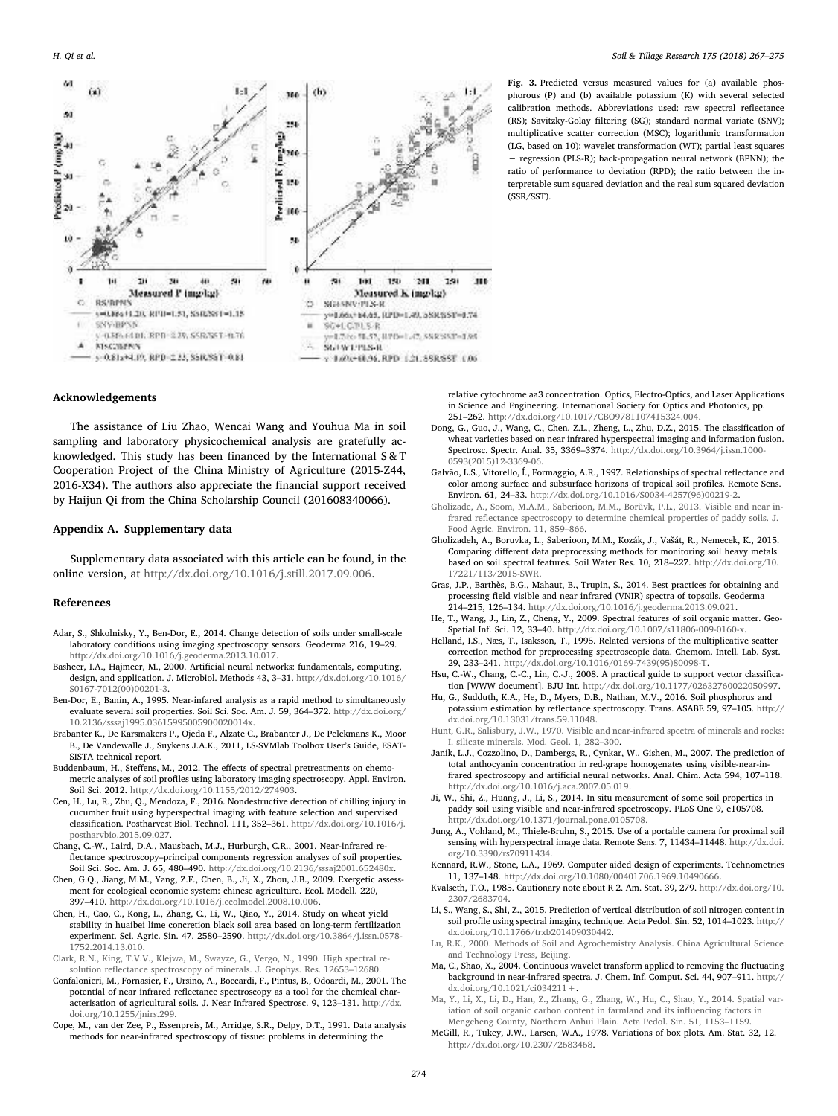

Fig. 3. Predicted versus measured values for (a) available phosphorous (P) and (b) available potassium (K) with several selected calibration methods. Abbreviations used: raw spectral reflectance (RS); Savitzky-Golay filtering (SG); standard normal variate (SNV); multiplicative scatter correction (MSC); logarithmic transformation (LG, based on 10); wavelet transformation (WT); partial least squares − regression (PLS-R); back-propagation neural network (BPNN); the ratio of performance to deviation (RPD); the ratio between the interpretable sum squared deviation and the real sum squared deviation (SSR/SST).

## Acknowledgements

The assistance of Liu Zhao, Wencai Wang and Youhua Ma in soil sampling and laboratory physicochemical analysis are gratefully acknowledged. This study has been financed by the International S & T Cooperation Project of the China Ministry of Agriculture (2015-Z44, 2016-X34). The authors also appreciate the financial support received by Haijun Qi from the China Scholarship Council (201608340066).

## Appendix A. Supplementary data

Supplementary data associated with this article can be found, in the online version, at http://dx.doi.org/10.1016/j.still.2017.09.006.

## References

- Adar, S., Shkolnisky, Y., Ben-Dor, E., 2014. Change detection of soils under small-scale laboratory conditions using imaging spectroscopy sensors. Geoderma 216, 19–29. http://dx.doi.org/10.1016/j.geoderma.2013.10.017.
- Basheer, I.A., Hajmeer, M., 2000. Artificial neural networks: fundamentals, computing, design, and application. J. Microbiol. Methods 43, 3–31. http://dx.doi.org/10.1016/ S0167-7012(00)00201-3.
- Ben-Dor, E., Banin, A., 1995. Near-infared analysis as a rapid method to simultaneously evaluate several soil properties. Soil Sci. Soc. Am. J. 59, 364–372. http://dx.doi.org/ 10.2136/sssaj1995.03615995005900020014x.
- Brabanter K., De Karsmakers P., Ojeda F., Alzate C., Brabanter J., De Pelckmans K., Moor B., De Vandewalle J., Suykens J.A.K., 2011, LS-SVMlab Toolbox User's Guide, ESAT-SISTA technical report.
- Buddenbaum, H., Steffens, M., 2012. The effects of spectral pretreatments on chemometric analyses of soil profiles using laboratory imaging spectroscopy. Appl. Environ. Soil Sci. 2012. http://dx.doi.org/10.1155/2012/274903.
- Cen, H., Lu, R., Zhu, Q., Mendoza, F., 2016. Nondestructive detection of chilling injury in cucumber fruit using hyperspectral imaging with feature selection and supervised classification. Postharvest Biol. Technol. 111, 352–361. http://dx.doi.org/10.1016/j. postharvbio.2015.09.027.
- Chang, C.-W., Laird, D.A., Mausbach, M.J., Hurburgh, C.R., 2001. Near-infrared reflectance spectroscopy–principal components regression analyses of soil properties. Soil Sci. Soc. Am. J. 65, 480–490. http://dx.doi.org/10.2136/sssaj2001.652480x.
- Chen, G.Q., Jiang, M.M., Yang, Z.F., Chen, B., Ji, X., Zhou, J.B., 2009. Exergetic assessment for ecological economic system: chinese agriculture. Ecol. Modell. 220, 397–410. http://dx.doi.org/10.1016/j.ecolmodel.2008.10.006.
- Chen, H., Cao, C., Kong, L., Zhang, C., Li, W., Qiao, Y., 2014. Study on wheat yield stability in huaibei lime concretion black soil area based on long-term fertilization experiment. Sci. Agric. Sin. 47, 2580–2590. http://dx.doi.org/10.3864/j.issn.0578- 1752.2014.13.010.
- Clark, R.N., King, T.V.V., Klejwa, M., Swayze, G., Vergo, N., 1990. High spectral resolution reflectance spectroscopy of minerals. J. Geophys. Res. 12653–12680.
- Confalonieri, M., Fornasier, F., Ursino, A., Boccardi, F., Pintus, B., Odoardi, M., 2001. The potential of near infrared reflectance spectroscopy as a tool for the chemical characterisation of agricultural soils. J. Near Infrared Spectrosc. 9, 123–131. http://dx. doi.org/10.1255/jnirs.299.
- Cope, M., van der Zee, P., Essenpreis, M., Arridge, S.R., Delpy, D.T., 1991. Data analysis methods for near-infrared spectroscopy of tissue: problems in determining the

relative cytochrome aa3 concentration. Optics, Electro-Optics, and Laser Applications in Science and Engineering. International Society for Optics and Photonics, pp. 251–262. http://dx.doi.org/10.1017/CBO9781107415324.004.

- Dong, G., Guo, J., Wang, C., Chen, Z.L., Zheng, L., Zhu, D.Z., 2015. The classification of wheat varieties based on near infrared hyperspectral imaging and information fusion. Spectrosc. Spectr. Anal. 35, 3369–3374. http://dx.doi.org/10.3964/j.issn.1000- 0593(2015)12-3369-06.
- Galvão, L.S., Vitorello, Í., Formaggio, A.R., 1997. Relationships of spectral reflectance and color among surface and subsurface horizons of tropical soil profiles. Remote Sens. Environ. 61, 24–33. http://dx.doi.org/10.1016/S0034-4257(96)00219-2.
- Gholizade, A., Soom, M.A.M., Saberioon, M.M., Borŭvk, P.L., 2013. Visible and near infrared reflectance spectroscopy to determine chemical properties of paddy soils. J. Food Agric. Environ. 11, 859–866.
- Gholizadeh, A., Boruvka, L., Saberioon, M.M., Kozák, J., Vašát, R., Nemecek, K., 2015. Comparing different data preprocessing methods for monitoring soil heavy metals based on soil spectral features. Soil Water Res. 10, 218–227. http://dx.doi.org/10. 17221/113/2015-SWR.
- Gras, J.P., Barthès, B.G., Mahaut, B., Trupin, S., 2014. Best practices for obtaining and processing field visible and near infrared (VNIR) spectra of topsoils. Geoderma 214–215, 126–134. http://dx.doi.org/10.1016/j.geoderma.2013.09.021.
- He, T., Wang, J., Lin, Z., Cheng, Y., 2009. Spectral features of soil organic matter. Geo-Spatial Inf. Sci. 12, 33–40. http://dx.doi.org/10.1007/s11806-009-0160-x.
- Helland, I.S., Næs, T., Isaksson, T., 1995. Related versions of the multiplicative scatter correction method for preprocessing spectroscopic data. Chemom. Intell. Lab. Syst. 29, 233–241. http://dx.doi.org/10.1016/0169-7439(95)80098-T.
- Hsu, C.-W., Chang, C.-C., Lin, C.-J., 2008. A practical guide to support vector classifica-
- tion [WWW document]. BJU Int. http://dx.doi.org/10.1177/02632760022050997. Hu, G., Sudduth, K.A., He, D., Myers, D.B., Nathan, M.V., 2016. Soil phosphorus and potassium estimation by reflectance spectroscopy. Trans. ASABE 59, 97–105. http:// dx.doi.org/10.13031/trans.59.11048.
- Hunt, G.R., Salisbury, J.W., 1970. Visible and near-infrared spectra of minerals and rocks: I. silicate minerals. Mod. Geol. 1, 282–300.
- Janik, L.J., Cozzolino, D., Dambergs, R., Cynkar, W., Gishen, M., 2007. The prediction of total anthocyanin concentration in red-grape homogenates using visible-near-infrared spectroscopy and artificial neural networks. Anal. Chim. Acta 594, 107–118. http://dx.doi.org/10.1016/j.aca.2007.05.019.
- Ji, W., Shi, Z., Huang, J., Li, S., 2014. In situ measurement of some soil properties in paddy soil using visible and near-infrared spectroscopy. PLoS One 9, e105708. http://dx.doi.org/10.1371/journal.pone.0105708.
- Jung, A., Vohland, M., Thiele-Bruhn, S., 2015. Use of a portable camera for proximal soil sensing with hyperspectral image data. Remote Sens. 7, 11434–11448. http://dx.doi. org/10.3390/rs70911434.
- Kennard, R.W., Stone, L.A., 1969. Computer aided design of experiments. Technometrics 11, 137–148. http://dx.doi.org/10.1080/00401706.1969.10490666.
- Kvalseth, T.O., 1985. Cautionary note about R 2. Am. Stat. 39, 279. http://dx.doi.org/10. 2307/2683704.
- Li, S., Wang, S., Shi, Z., 2015. Prediction of vertical distribution of soil nitrogen content in soil profile using spectral imaging technique. Acta Pedol. Sin. 52, 1014–1023. http:// dx.doi.org/10.11766/trxb201409030442.
- Lu, R.K., 2000. Methods of Soil and Agrochemistry Analysis. China Agricultural Science and Technology Press, Beijing.
- Ma, C., Shao, X., 2004. Continuous wavelet transform applied to removing the fluctuating background in near-infrared spectra. J. Chem. Inf. Comput. Sci. 44, 907–911. http:// dx.doi.org/10.1021/ci034211+.
- Ma, Y., Li, X., Li, D., Han, Z., Zhang, G., Zhang, W., Hu, C., Shao, Y., 2014. Spatial variation of soil organic carbon content in farmland and its influencing factors in Mengcheng County, Northern Anhui Plain. Acta Pedol. Sin. 51, 1153–1159.
- McGill, R., Tukey, J.W., Larsen, W.A., 1978. Variations of box plots. Am. Stat. 32, 12. http://dx.doi.org/10.2307/2683468.